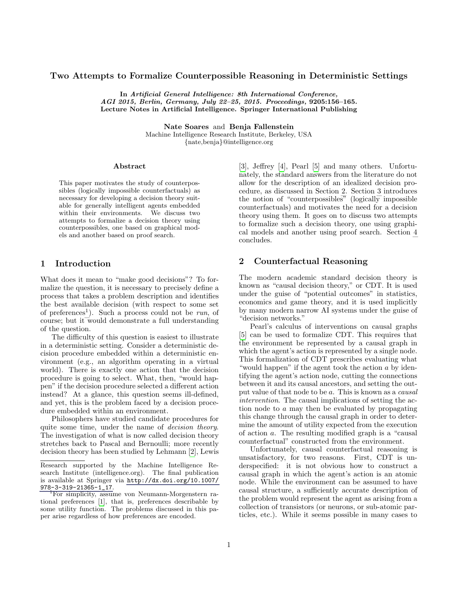#### Two Attempts to Formalize Counterpossible Reasoning in Deterministic Settings

In Artificial General Intelligence: 8th International Conference, AGI 2015, Berlin, Germany, July 22–25, 2015. Proceedings, 9205:156–165. Lecture Notes in Artificial Intelligence. Springer International Publishing

> Nate Soares and Benja Fallenstein Machine Intelligence Research Institute, Berkeley, USA {nate,benja}@intelligence.org

#### Abstract

This paper motivates the study of counterpossibles (logically impossible counterfactuals) as necessary for developing a decision theory suitable for generally intelligent agents embedded within their environments. We discuss two attempts to formalize a decision theory using counterpossibles, one based on graphical models and another based on proof search.

## 1 Introduction

What does it mean to "make good decisions"? To formalize the question, it is necessary to precisely define a process that takes a problem description and identifies the best available decision (with respect to some set of preferences<sup>[1](#page-0-0)</sup>). Such a process could not be *run*, of course; but it would demonstrate a full understanding of the question.

The difficulty of this question is easiest to illustrate in a deterministic setting. Consider a deterministic decision procedure embedded within a deterministic environment (e.g., an algorithm operating in a virtual world). There is exactly one action that the decision procedure is going to select. What, then, "would happen" if the decision procedure selected a different action instead? At a glance, this question seems ill-defined, and yet, this is the problem faced by a decision procedure embedded within an environment.

Philosophers have studied candidate procedures for quite some time, under the name of decision theory. The investigation of what is now called decision theory stretches back to Pascal and Bernoulli; more recently decision theory has been studied by Lehmann [\[2\]](#page-5-0), Lewis

[\[3\]](#page-5-1), Jeffrey [\[4\]](#page-5-2), Pearl [\[5\]](#page-5-3) and many others. Unfortunately, the standard answers from the literature do not allow for the description of an idealized decision procedure, as discussed in Section [2.](#page-0-1) Section [3](#page-1-0) introduces the notion of "counterpossibles" (logically impossible counterfactuals) and motivates the need for a decision theory using them. It goes on to discuss two attempts to formalize such a decision theory, one using graphical models and another using proof search. Section [4](#page-4-1) concludes.

## <span id="page-0-1"></span>2 Counterfactual Reasoning

The modern academic standard decision theory is known as "causal decision theory," or CDT. It is used under the guise of "potential outcomes" in statistics, economics and game theory, and it is used implicitly by many modern narrow AI systems under the guise of "decision networks."

Pearl's calculus of interventions on causal graphs [\[5\]](#page-5-3) can be used to formalize CDT. This requires that the environment be represented by a causal graph in which the agent's action is represented by a single node. This formalization of CDT prescribes evaluating what "would happen" if the agent took the action a by identifying the agent's action node, cutting the connections between it and its causal ancestors, and setting the output value of that node to be a. This is known as a causal intervention. The causal implications of setting the action node to a may then be evaluated by propagating this change through the causal graph in order to determine the amount of utility expected from the execution of action a. The resulting modified graph is a "causal counterfactual" constructed from the environment.

Unfortunately, causal counterfactual reasoning is unsatisfactory, for two reasons. First, CDT is underspecified: it is not obvious how to construct a causal graph in which the agent's action is an atomic node. While the environment can be assumed to have causal structure, a sufficiently accurate description of the problem would represent the agent as arising from a collection of transistors (or neurons, or sub-atomic particles, etc.). While it seems possible in many cases to

Research supported by the Machine Intelligence Research Institute (intelligence.org). The final publication is available at Springer via [http://dx.doi.org/10.1007/](http://dx.doi.org/10.1007/978-3-319-21365-1_17)

<span id="page-0-0"></span>[<sup>978-3-319-21365-1</sup>\\_17](http://dx.doi.org/10.1007/978-3-319-21365-1_17). <sup>1</sup>For simplicity, assume von Neumann-Morgenstern rational preferences [\[1\]](#page-4-0), that is, preferences describable by some utility function. The problems discussed in this paper arise regardless of how preferences are encoded.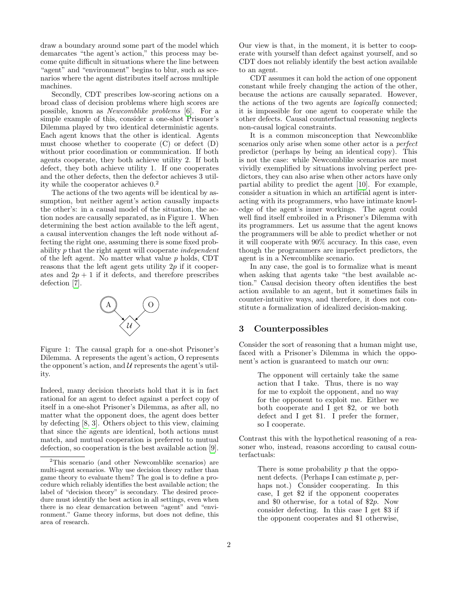draw a boundary around some part of the model which demarcates "the agent's action," this process may become quite difficult in situations where the line between "agent" and "environment" begins to blur, such as scenarios where the agent distributes itself across multiple machines.

Secondly, CDT prescribes low-scoring actions on a broad class of decision problems where high scores are possible, known as Newcomblike problems [\[6\]](#page-5-4). For a simple example of this, consider a one-shot Prisoner's Dilemma played by two identical deterministic agents. Each agent knows that the other is identical. Agents must choose whether to cooperate  $(C)$  or defect  $(D)$ without prior coordination or communication. If both agents cooperate, they both achieve utility 2. If both defect, they both achieve utility 1. If one cooperates and the other defects, then the defector achieves 3 utility while the cooperator achieves 0.[2](#page-1-1)

The actions of the two agents will be identical by assumption, but neither agent's action causally impacts the other's: in a causal model of the situation, the action nodes are causally separated, as in Figure [1.](#page-1-2) When determining the best action available to the left agent, a causal intervention changes the left node without affecting the right one, assuming there is some fixed probability p that the right agent will cooperate independent of the left agent. No matter what value  $p$  holds, CDT reasons that the left agent gets utility 2p if it cooperates and  $2p + 1$  if it defects, and therefore prescribes defection [\[7\]](#page-5-5).



<span id="page-1-2"></span>Figure 1: The causal graph for a one-shot Prisoner's Dilemma. A represents the agent's action, O represents the opponent's action, and  $U$  represents the agent's utility.

Indeed, many decision theorists hold that it is in fact rational for an agent to defect against a perfect copy of itself in a one-shot Prisoner's Dilemma, as after all, no matter what the opponent does, the agent does better by defecting [\[8,](#page-5-6) [3\]](#page-5-1). Others object to this view, claiming that since the agents are identical, both actions must match, and mutual cooperation is preferred to mutual defection, so cooperation is the best available action [\[9\]](#page-5-7).

Our view is that, in the moment, it is better to cooperate with yourself than defect against yourself, and so CDT does not reliably identify the best action available to an agent.

CDT assumes it can hold the action of one opponent constant while freely changing the action of the other, because the actions are causally separated. However, the actions of the two agents are logically connected; it is impossible for one agent to cooperate while the other defects. Causal counterfactual reasoning neglects non-causal logical constraints.

It is a common misconception that Newcomblike scenarios only arise when some other actor is a perfect predictor (perhaps by being an identical copy). This is not the case: while Newcomblike scenarios are most vividly exemplified by situations involving perfect predictors, they can also arise when other actors have only partial ability to predict the agent [\[10\]](#page-5-8). For example, consider a situation in which an artificial agent is interacting with its programmers, who have intimate knowledge of the agent's inner workings. The agent could well find itself embroiled in a Prisoner's Dilemma with its programmers. Let us assume that the agent knows the programmers will be able to predict whether or not it will cooperate with 90% accuracy. In this case, even though the programmers are imperfect predictors, the agent is in a Newcomblike scenario.

In any case, the goal is to formalize what is meant when asking that agents take "the best available action." Causal decision theory often identifies the best action available to an agent, but it sometimes fails in counter-intuitive ways, and therefore, it does not constitute a formalization of idealized decision-making.

## <span id="page-1-0"></span>3 Counterpossibles

Consider the sort of reasoning that a human might use, faced with a Prisoner's Dilemma in which the opponent's action is guaranteed to match our own:

The opponent will certainly take the same action that I take. Thus, there is no way for me to exploit the opponent, and no way for the opponent to exploit me. Either we both cooperate and I get \$2, or we both defect and I get \$1. I prefer the former, so I cooperate.

Contrast this with the hypothetical reasoning of a reasoner who, instead, reasons according to causal counterfactuals:

> There is some probability  $p$  that the opponent defects. (Perhaps I can estimate p, perhaps not.) Consider cooperating. In this case, I get \$2 if the opponent cooperates and \$0 otherwise, for a total of \$2p. Now consider defecting. In this case I get \$3 if the opponent cooperates and \$1 otherwise,

<span id="page-1-1"></span><sup>2</sup>This scenario (and other Newcomblike scenarios) are multi-agent scenarios. Why use decision theory rather than game theory to evaluate them? The goal is to define a procedure which reliably identifies the best available action; the label of "decision theory" is secondary. The desired procedure must identify the best action in all settings, even when there is no clear demarcation between "agent" and "environment." Game theory informs, but does not define, this area of research.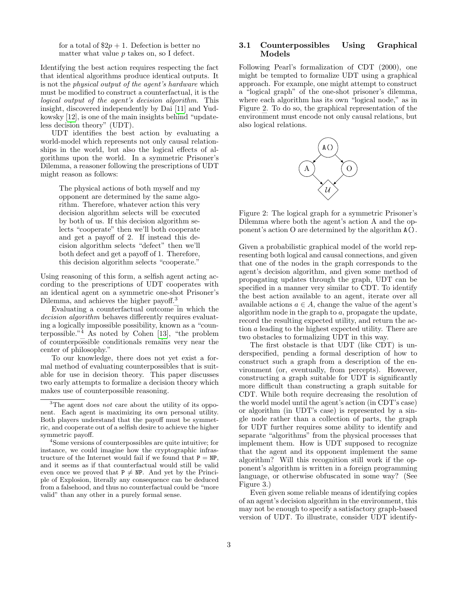for a total of  $2p + 1$ . Defection is better no matter what value  $p$  takes on, so I defect.

Identifying the best action requires respecting the fact that identical algorithms produce identical outputs. It is not the physical output of the agent's hardware which must be modified to construct a counterfactual, it is the logical output of the agent's decision algorithm. This insight, discovered independently by Dai [\[11\]](#page-5-9) and Yudkowsky [\[12\]](#page-5-10), is one of the main insights behind "updateless decision theory" (UDT).

UDT identifies the best action by evaluating a world-model which represents not only causal relationships in the world, but also the logical effects of algorithms upon the world. In a symmetric Prisoner's Dilemma, a reasoner following the prescriptions of UDT might reason as follows:

> The physical actions of both myself and my opponent are determined by the same algorithm. Therefore, whatever action this very decision algorithm selects will be executed by both of us. If this decision algorithm selects "cooperate" then we'll both cooperate and get a payoff of 2. If instead this decision algorithm selects "defect" then we'll both defect and get a payoff of 1. Therefore, this decision algorithm selects "cooperate."

Using reasoning of this form, a selfish agent acting according to the prescriptions of UDT cooperates with an identical agent on a symmetric one-shot Prisoner's Dilemma, and achieves the higher payoff.<sup>[3](#page-2-0)</sup>

Evaluating a counterfactual outcome in which the decision algorithm behaves differently requires evaluating a logically impossible possibility, known as a "coun-terpossible."<sup>[4](#page-2-1)</sup> As noted by Cohen [\[13\]](#page-5-11), "the problem of counterpossible conditionals remains very near the center of philosophy."

To our knowledge, there does not yet exist a formal method of evaluating counterpossibles that is suitable for use in decision theory. This paper discusses two early attempts to formalize a decision theory which makes use of counterpossible reasoning.

#### 3.1 Counterpossibles Using Graphical Models

Following Pearl's formalization of CDT (2000), one might be tempted to formalize UDT using a graphical approach. For example, one might attempt to construct a "logical graph" of the one-shot prisoner's dilemma, where each algorithm has its own "logical node," as in Figure [2.](#page-2-2) To do so, the graphical representation of the environment must encode not only causal relations, but also logical relations.



<span id="page-2-2"></span>Figure 2: The logical graph for a symmetric Prisoner's Dilemma where both the agent's action A and the opponent's action O are determined by the algorithm A().

Given a probabilistic graphical model of the world representing both logical and causal connections, and given that one of the nodes in the graph corresponds to the agent's decision algorithm, and given some method of propagating updates through the graph, UDT can be specified in a manner very similar to CDT. To identify the best action available to an agent, iterate over all available actions  $a \in A$ , change the value of the agent's algorithm node in the graph to a, propagate the update, record the resulting expected utility, and return the action a leading to the highest expected utility. There are two obstacles to formalizing UDT in this way.

The first obstacle is that UDT (like CDT) is underspecified, pending a formal description of how to construct such a graph from a description of the environment (or, eventually, from percepts). However, constructing a graph suitable for UDT is significantly more difficult than constructing a graph suitable for CDT. While both require decreasing the resolution of the world model until the agent's action (in CDT's case) or algorithm (in UDT's case) is represented by a single node rather than a collection of parts, the graph for UDT further requires some ability to identify and separate "algorithms" from the physical processes that implement them. How is UDT supposed to recognize that the agent and its opponent implement the same algorithm? Will this recognition still work if the opponent's algorithm is written in a foreign programming language, or otherwise obfuscated in some way? (See Figure [3.](#page-3-0))

Even given some reliable means of identifying copies of an agent's decision algorithm in the environment, this may not be enough to specify a satisfactory graph-based version of UDT. To illustrate, consider UDT identify-

<span id="page-2-0"></span><sup>&</sup>lt;sup>3</sup>The agent does *not* care about the utility of its opponent. Each agent is maximizing its own personal utility. Both players understand that the payoff must be symmetric, and cooperate out of a selfish desire to achieve the higher symmetric payoff.

<span id="page-2-1"></span><sup>4</sup>Some versions of counterpossibles are quite intuitive; for instance, we could imagine how the cryptographic infrastructure of the Internet would fail if we found that  $P = NP$ . and it seems as if that counterfactual would still be valid even once we proved that  $P \neq NP$ . And yet by the Principle of Explosion, literally any consequence can be deduced from a falsehood, and thus no counterfactual could be "more valid" than any other in a purely formal sense.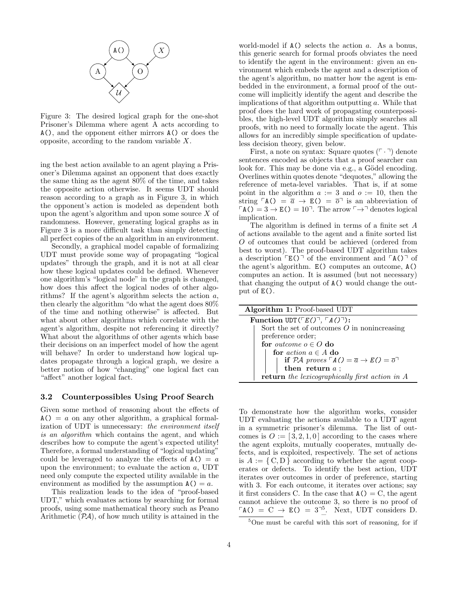

<span id="page-3-0"></span>Figure 3: The desired logical graph for the one-shot Prisoner's Dilemma where agent A acts according to A(), and the opponent either mirrors A() or does the opposite, according to the random variable X.

ing the best action available to an agent playing a Prisoner's Dilemma against an opponent that does exactly the same thing as the agent 80% of the time, and takes the opposite action otherwise. It seems UDT should reason according to a graph as in Figure [3,](#page-3-0) in which the opponent's action is modeled as dependent both upon the agent's algorithm and upon some source  $X$  of randomness. However, generating logical graphs as in Figure [3](#page-3-0) is a more difficult task than simply detecting all perfect copies of the an algorithm in an environment.

Secondly, a graphical model capable of formalizing UDT must provide some way of propagating "logical updates" through the graph, and it is not at all clear how these logical updates could be defined. Whenever one algorithm's "logical node" in the graph is changed, how does this affect the logical nodes of other algorithms? If the agent's algorithm selects the action  $a$ , then clearly the algorithm "do what the agent does 80% of the time and nothing otherwise" is affected. But what about other algorithms which correlate with the agent's algorithm, despite not referencing it directly? What about the algorithms of other agents which base their decisions on an imperfect model of how the agent will behave? In order to understand how logical updates propagate through a logical graph, we desire a better notion of how "changing" one logical fact can "affect" another logical fact.

#### 3.2 Counterpossibles Using Proof Search

Given some method of reasoning about the effects of  $A() = a$  on any other algorithm, a graphical formalization of UDT is unnecessary: the environment itself is an algorithm which contains the agent, and which describes how to compute the agent's expected utility! Therefore, a formal understanding of "logical updating" could be leveraged to analyze the effects of  $A() = a$ upon the environment; to evaluate the action a, UDT need only compute the expected utility available in the environment as modified by the assumption  $A() = a$ .

This realization leads to the idea of "proof-based UDT," which evaluates actions by searching for formal proofs, using some mathematical theory such as Peano Arithmetic  $(\mathcal{P}A)$ , of how much utility is attained in the

world-model if  $A()$  selects the action a. As a bonus, this generic search for formal proofs obviates the need to identify the agent in the environment: given an environment which embeds the agent and a description of the agent's algorithm, no matter how the agent is embedded in the environment, a formal proof of the outcome will implicitly identify the agent and describe the implications of that algorithm outputting a. While that proof does the hard work of propagating counterpossibles, the high-level UDT algorithm simply searches all proofs, with no need to formally locate the agent. This allows for an incredibly simple specification of updateless decision theory, given below.

First, a note on syntax: Square quotes  $(\ulcorner \cdot \urcorner)$  denote sentences encoded as objects that a proof searcher can look for. This may be done via e.g., a Gödel encoding. Overlines within quotes denote "dequotes," allowing the reference of meta-level variables. That is, if at some point in the algorithm  $a := 3$  and  $o := 10$ , then the string  $\lceil A(\rceil) = \bar{a} \rceil \to E(\rceil) = \bar{o} \rceil$  is an abbreviation of  $\lceil A() \rceil = 3 \rightarrow E() = 10$ <sup>-</sup>. The arrow  $\lceil \rightarrow \rceil$  denotes logical implication.

The algorithm is defined in terms of a finite set A of actions available to the agent and a finite sorted list  ${\cal O}$  of outcomes that could be achieved (ordered from best to worst). The proof-based UDT algorithm takes a description  $\lceil E(\rceil \rceil)$  of the environment and  $\lceil A(\rceil) \rceil$  of the agent's algorithm. E() computes an outcome, A() computes an action. It is assumed (but not necessary) that changing the output of A() would change the output of E().

To demonstrate how the algorithm works, consider UDT evaluating the actions available to a UDT agent in a symmetric prisoner's dilemma. The list of outcomes is  $O := [3, 2, 1, 0]$  according to the cases where the agent exploits, mutually cooperates, mutually defects, and is exploited, respectively. The set of actions is  $A := \{C, D\}$  according to whether the agent cooperates or defects. To identify the best action, UDT iterates over outcomes in order of preference, starting with 3. For each outcome, it iterates over actions; say it first considers C. In the case that  $A() = C$ , the agent cannot achieve the outcome 3, so there is no proof of  $\Gamma$ A() = C  $\rightarrow$  E() = 3<sup>-[5](#page-3-1)</sup>. Next, UDT considers D.

<span id="page-3-1"></span><sup>5</sup>One must be careful with this sort of reasoning, for if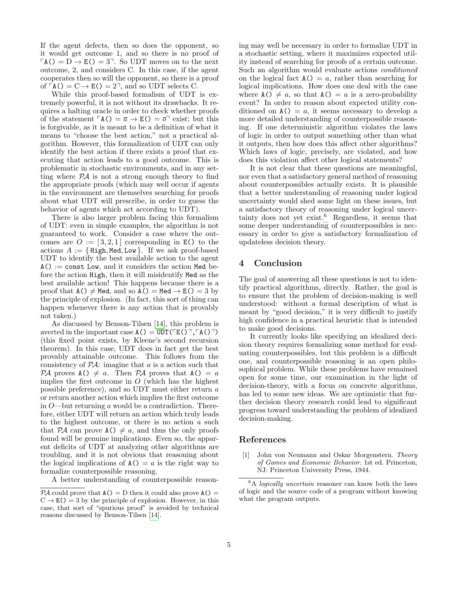If the agent defects, then so does the opponent, so it would get outcome 1, and so there is no proof of  $\lceil A() = D \rightarrow E() = 3$ <sup>-7</sup>. So UDT moves on to the next outcome, 2, and considers C. In this case, if the agent cooperates then so will the opponent, so there is a proof of  $\lceil A(\cdot) = C \rceil$  = 2<sup> $\lceil A(\cdot) \rceil$ </sup> selects C.

While this proof-based formalism of UDT is extremely powerful, it is not without its drawbacks. It requires a halting oracle in order to check whether proofs of the statement  $\ulcorner A() = \bar{a} \rightarrow E() = \bar{o} \urcorner$  exist; but this is forgivable, as it is meant to be a definition of what it means to "choose the best action," not a practical algorithm. However, this formalization of UDT can only identify the best action if there exists a proof that executing that action leads to a good outcome. This is problematic in stochastic environments, and in any setting where  $P\mathcal{A}$  is not a strong enough theory to find the appropriate proofs (which may well occur if agents in the environment are themselves searching for proofs about what UDT will prescribe, in order to guess the behavior of agents which act according to UDT).

There is also larger problem facing this formalism of UDT: even in simple examples, the algorithm is not guaranteed to work. Consider a case where the outcomes are  $O := [3, 2, 1]$  corresponding in E() to the actions  $A := \{ High, Med, Low \}$ . If we ask proof-based UDT to identify the best available action to the agent  $A() := \text{const}$  Low, and it considers the action Med before the action High, then it will misidentify Med as the best available action! This happens because there is a proof that  $A() \neq Med$ , and so  $A() = Med \rightarrow E() = 3$  by the principle of explosion. (In fact, this sort of thing can happen whenever there is any action that is provably not taken.)

As discussed by Benson-Tilsen [\[14\]](#page-5-12), this problem is averted in the important case  $\mathtt{A}() = \mathtt{UDT}(\ulcorner\mathtt{E}(\urcorner\urcorner, \ulcorner\mathtt{A}(\urcorner\urcorner)$ (this fixed point exists, by Kleene's second recursion theorem). In this case, UDT does in fact get the best provably attainable outcome. This follows from the consistency of  $\mathcal{P} \mathcal{A}$ : imagine that a is a action such that  $\mathcal{P} \mathcal{A}$  proves  $A() \neq a$ . Then  $\mathcal{P} \mathcal{A}$  proves that  $A() = a$ implies the first outcome in  $O$  (which has the highest possible preference), and so UDT must either return a or return another action which implies the first outcome in  $O$ —but returning a would be a contradiction. Therefore, either UDT will return an action which truly leads to the highest outcome, or there is no action a such that PA can prove  $A() \neq a$ , and thus the only proofs found will be genuine implications. Even so, the apparent deficits of UDT at analyzing other algorithms are troubling, and it is not obvious that reasoning about the logical implications of  $A() = a$  is the right way to formalize counterpossible reasoning.

A better understanding of counterpossible reason-

ing may well be necessary in order to formalize UDT in a stochastic setting, where it maximizes expected utility instead of searching for proofs of a certain outcome. Such an algorithm would evaluate actions conditioned on the logical fact  $A() = a$ , rather than searching for logical implications. How does one deal with the case where  $A() \neq a$ , so that  $A() = a$  is a zero-probability event? In order to reason about expected utility conditioned on  $A() = a$ , it seems necessary to develop a more detailed understanding of counterpossible reasoning. If one deterministic algorithm violates the laws of logic in order to output something other than what it outputs, then how does this affect other algorithms? Which laws of logic, precisely, are violated, and how does this violation affect other logical statements?

It is not clear that these questions are meaningful, nor even that a satisfactory general method of reasoning about counterpossibles actually exists. It is plausible that a better understanding of reasoning under logical uncertainty would shed some light on these issues, but a satisfactory theory of reasoning under logical uncertainty does not yet exist.[6](#page-4-2) Regardless, it seems that some deeper understanding of counterpossibles is necessary in order to give a satisfactory formalization of updateless decision theory.

# <span id="page-4-1"></span>4 Conclusion

The goal of answering all these questions is not to identify practical algorithms, directly. Rather, the goal is to ensure that the problem of decision-making is well understood: without a formal description of what is meant by "good decision," it is very difficult to justify high confidence in a practical heuristic that is intended to make good decisions.

It currently looks like specifying an idealized decision theory requires formalizing some method for evaluating counterpossibles, but this problem is a difficult one, and counterpossible reasoning is an open philosophical problem. While these problems have remained open for some time, our examination in the light of decision-theory, with a focus on concrete algorithms, has led to some new ideas. We are optimistic that further decision theory research could lead to significant progress toward understanding the problem of idealized decision-making.

## References

<span id="page-4-0"></span>[1] John von Neumann and Oskar Morgenstern. Theory of Games and Economic Behavior. 1st ed. Princeton, NJ: Princeton University Press, 1944.

<span id="page-4-2"></span> ${}^{6}$ A *logically uncertain* reasoner can know both the laws of logic and the source code of a program without knowing what the program outputs.

 $P\mathcal{A}$  could prove that  $A() = D$  then it could also prove  $A() =$  $C \rightarrow E() = 3$  by the principle of explosion. However, in this case, that sort of "spurious proof" is avoided by technical reasons discussed by Benson-Tilsen [\[14\]](#page-5-12).